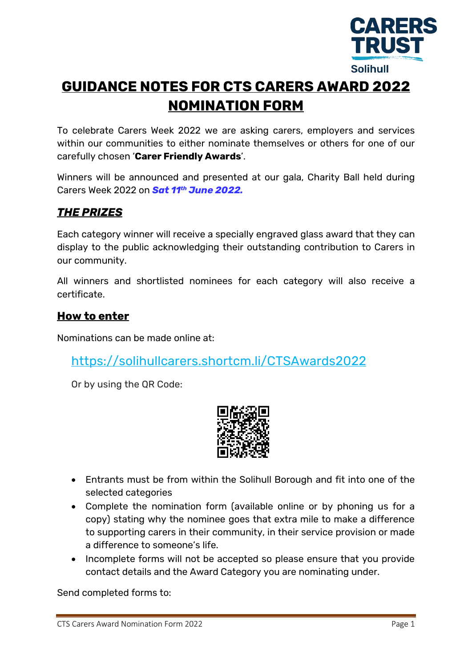

# **GUIDANCE NOTES FOR CTS CARERS AWARD 2022 NOMINATION FORM**

To celebrate Carers Week 2022 we are asking carers, employers and services within our communities to either nominate themselves or others for one of our carefully chosen '**Carer Friendly Awards**'.

Winners will be announced and presented at our gala, Charity Ball held during Carers Week 2022 on *Sat 11th June 2022.*

# *THE PRIZES*

Each category winner will receive a specially engraved glass award that they can display to the public acknowledging their outstanding contribution to Carers in our community.

All winners and shortlisted nominees for each category will also receive a certificate.

#### **How to enter**

Nominations can be made online at:

<https://solihullcarers.shortcm.li/CTSAwards2022>

Or by using the QR Code:



- Entrants must be from within the Solihull Borough and fit into one of the selected categories
- Complete the nomination form (available online or by phoning us for a copy) stating why the nominee goes that extra mile to make a difference to supporting carers in their community, in their service provision or made a difference to someone's life.
- Incomplete forms will not be accepted so please ensure that you provide contact details and the Award Category you are nominating under.

Send completed forms to: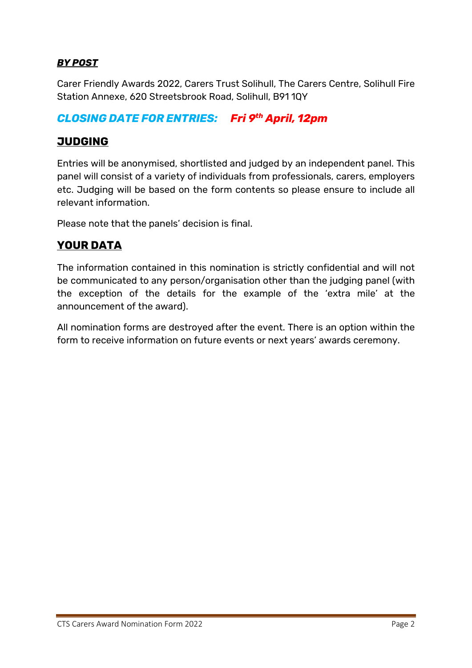#### *BY POST*

Carer Friendly Awards 2022, Carers Trust Solihull, The Carers Centre, Solihull Fire Station Annexe, 620 Streetsbrook Road, Solihull, B91 1QY

### *CLOSING DATE FOR ENTRIES: Fri 9th April, 12pm*

#### **JUDGING**

Entries will be anonymised, shortlisted and judged by an independent panel. This panel will consist of a variety of individuals from professionals, carers, employers etc. Judging will be based on the form contents so please ensure to include all relevant information.

Please note that the panels' decision is final.

## **YOUR DATA**

The information contained in this nomination is strictly confidential and will not be communicated to any person/organisation other than the judging panel (with the exception of the details for the example of the 'extra mile' at the announcement of the award).

All nomination forms are destroyed after the event. There is an option within the form to receive information on future events or next years' awards ceremony.